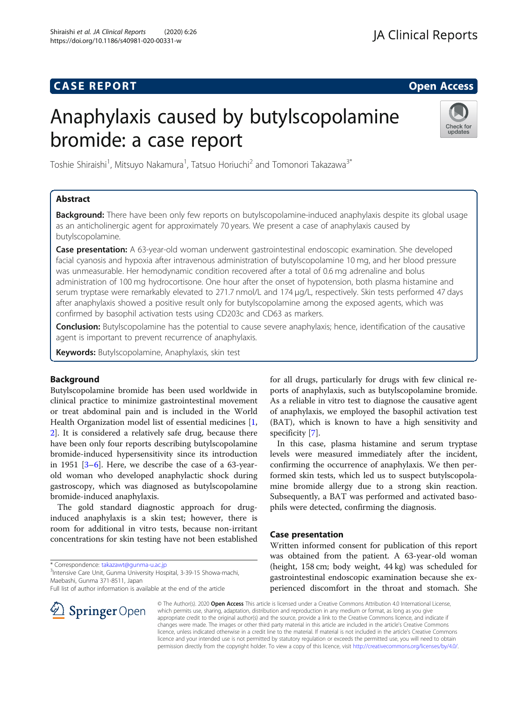# Anaphylaxis caused by butylscopolamine bromide: a case report



Toshie Shiraishi<sup>1</sup>, Mitsuyo Nakamura<sup>1</sup>, Tatsuo Horiuchi<sup>2</sup> and Tomonori Takazawa<sup>3\*</sup>

# Abstract

**Background:** There have been only few reports on butylscopolamine-induced anaphylaxis despite its global usage as an anticholinergic agent for approximately 70 years. We present a case of anaphylaxis caused by butylscopolamine.

**Case presentation:** A 63-year-old woman underwent gastrointestinal endoscopic examination. She developed facial cyanosis and hypoxia after intravenous administration of butylscopolamine 10 mg, and her blood pressure was unmeasurable. Her hemodynamic condition recovered after a total of 0.6 mg adrenaline and bolus administration of 100 mg hydrocortisone. One hour after the onset of hypotension, both plasma histamine and serum tryptase were remarkably elevated to 271.7 nmol/L and 174 µg/L, respectively. Skin tests performed 47 days after anaphylaxis showed a positive result only for butylscopolamine among the exposed agents, which was confirmed by basophil activation tests using CD203c and CD63 as markers.

Conclusion: Butylscopolamine has the potential to cause severe anaphylaxis; hence, identification of the causative agent is important to prevent recurrence of anaphylaxis.

Keywords: Butylscopolamine, Anaphylaxis, skin test

# Background

Butylscopolamine bromide has been used worldwide in clinical practice to minimize gastrointestinal movement or treat abdominal pain and is included in the World Health Organization model list of essential medicines [\[1](#page-3-0), [2\]](#page-3-0). It is considered a relatively safe drug, because there have been only four reports describing butylscopolamine bromide-induced hypersensitivity since its introduction in 1951 [\[3](#page-3-0)–[6](#page-3-0)]. Here, we describe the case of a 63-yearold woman who developed anaphylactic shock during gastroscopy, which was diagnosed as butylscopolamine bromide-induced anaphylaxis.

The gold standard diagnostic approach for druginduced anaphylaxis is a skin test; however, there is room for additional in vitro tests, because non-irritant concentrations for skin testing have not been established

\* Correspondence: [takazawt@gunma-u.ac.jp](mailto:takazawt@gunma-u.ac.jp) <sup>3</sup>

<sup>3</sup>Intensive Care Unit, Gunma University Hospital, 3-39-15 Showa-machi, Maebashi, Gunma 371-8511, Japan

Full list of author information is available at the end of the article



for all drugs, particularly for drugs with few clinical reports of anaphylaxis, such as butylscopolamine bromide. As a reliable in vitro test to diagnose the causative agent of anaphylaxis, we employed the basophil activation test (BAT), which is known to have a high sensitivity and specificity [\[7](#page-3-0)].

In this case, plasma histamine and serum tryptase levels were measured immediately after the incident, confirming the occurrence of anaphylaxis. We then performed skin tests, which led us to suspect butylscopolamine bromide allergy due to a strong skin reaction. Subsequently, a BAT was performed and activated basophils were detected, confirming the diagnosis.

# Case presentation

Written informed consent for publication of this report was obtained from the patient. A 63-year-old woman (height, 158 cm; body weight, 44 kg) was scheduled for gastrointestinal endoscopic examination because she experienced discomfort in the throat and stomach. She

© The Author(s). 2020 Open Access This article is licensed under a Creative Commons Attribution 4.0 International License, which permits use, sharing, adaptation, distribution and reproduction in any medium or format, as long as you give appropriate credit to the original author(s) and the source, provide a link to the Creative Commons licence, and indicate if changes were made. The images or other third party material in this article are included in the article's Creative Commons licence, unless indicated otherwise in a credit line to the material. If material is not included in the article's Creative Commons licence and your intended use is not permitted by statutory regulation or exceeds the permitted use, you will need to obtain permission directly from the copyright holder. To view a copy of this licence, visit <http://creativecommons.org/licenses/by/4.0/>.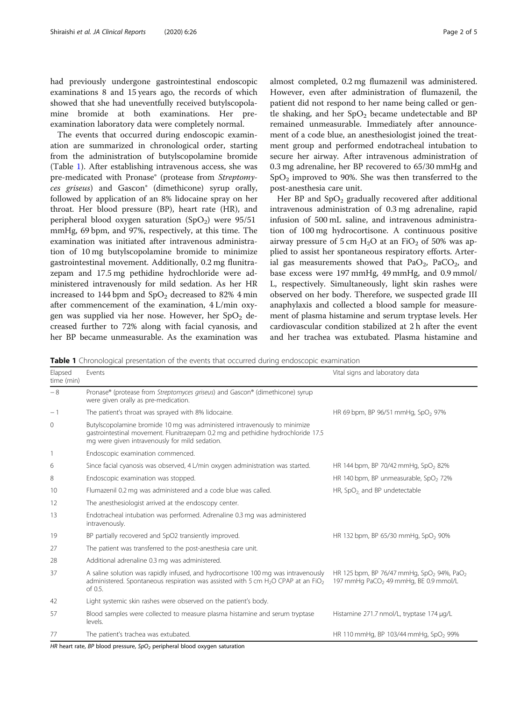had previously undergone gastrointestinal endoscopic examinations 8 and 15 years ago, the records of which showed that she had uneventfully received butylscopolamine bromide at both examinations. Her preexamination laboratory data were completely normal.

The events that occurred during endoscopic examination are summarized in chronological order, starting from the administration of butylscopolamine bromide (Table 1). After establishing intravenous access, she was pre-medicated with Pronase® (protease from Streptomyces griseus) and Gascon® (dimethicone) syrup orally, followed by application of an 8% lidocaine spray on her throat. Her blood pressure (BP), heart rate (HR), and peripheral blood oxygen saturation  $(SpO<sub>2</sub>)$  were 95/51 mmHg, 69 bpm, and 97%, respectively, at this time. The examination was initiated after intravenous administration of 10 mg butylscopolamine bromide to minimize gastrointestinal movement. Additionally, 0.2 mg flunitrazepam and 17.5 mg pethidine hydrochloride were administered intravenously for mild sedation. As her HR increased to 144 bpm and  $\mathrm{SpO}_2$  decreased to 82% 4 min after commencement of the examination, 4 L/min oxygen was supplied via her nose. However, her  $SpO<sub>2</sub>$  decreased further to 72% along with facial cyanosis, and her BP became unmeasurable. As the examination was almost completed, 0.2 mg flumazenil was administered. However, even after administration of flumazenil, the patient did not respond to her name being called or gentle shaking, and her  $SpO<sub>2</sub>$  became undetectable and BP remained unmeasurable. Immediately after announcement of a code blue, an anesthesiologist joined the treatment group and performed endotracheal intubation to secure her airway. After intravenous administration of 0.3 mg adrenaline, her BP recovered to 65/30 mmHg and  $SpO<sub>2</sub>$  improved to 90%. She was then transferred to the post-anesthesia care unit.

Her BP and  $SpO<sub>2</sub>$  gradually recovered after additional intravenous administration of 0.3 mg adrenaline, rapid infusion of 500 mL saline, and intravenous administration of 100 mg hydrocortisone. A continuous positive airway pressure of 5 cm  $H_2O$  at an FiO<sub>2</sub> of 50% was applied to assist her spontaneous respiratory efforts. Arterial gas measurements showed that  $PaO<sub>2</sub>$ ,  $PaCO<sub>2</sub>$ , and base excess were 197 mmHg, 49 mmHg, and 0.9 mmol/ L, respectively. Simultaneously, light skin rashes were observed on her body. Therefore, we suspected grade III anaphylaxis and collected a blood sample for measurement of plasma histamine and serum tryptase levels. Her cardiovascular condition stabilized at 2 h after the event and her trachea was extubated. Plasma histamine and

Table 1 Chronological presentation of the events that occurred during endoscopic examination

| Elapsed<br>time (min) | Events                                                                                                                                                                                                          | Vital signs and laboratory data                                                                                        |
|-----------------------|-----------------------------------------------------------------------------------------------------------------------------------------------------------------------------------------------------------------|------------------------------------------------------------------------------------------------------------------------|
| $-8$                  | Pronase® (protease from Streptomyces griseus) and Gascon® (dimethicone) syrup<br>were given orally as pre-medication.                                                                                           |                                                                                                                        |
| $-1$                  | The patient's throat was sprayed with 8% lidocaine.                                                                                                                                                             | HR 69 bpm, BP 96/51 mmHg, SpO <sub>2</sub> 97%                                                                         |
| 0                     | Butylscopolamine bromide 10 mg was administered intravenously to minimize<br>gastrointestinal movement. Flunitrazepam 0.2 mg and pethidine hydrochloride 17.5<br>mg were given intravenously for mild sedation. |                                                                                                                        |
| 1                     | Endoscopic examination commenced.                                                                                                                                                                               |                                                                                                                        |
| 6                     | Since facial cyanosis was observed, 4 L/min oxygen administration was started.                                                                                                                                  | HR 144 bpm, BP 70/42 mmHg, SpO <sub>2</sub> 82%                                                                        |
| 8                     | Endoscopic examination was stopped.                                                                                                                                                                             | HR 140 bpm, BP unmeasurable, SpO <sub>2</sub> 72%                                                                      |
| 10                    | Flumazenil 0.2 mg was administered and a code blue was called.                                                                                                                                                  | HR, SpO <sub>2</sub> and BP undetectable                                                                               |
| 12                    | The anesthesiologist arrived at the endoscopy center.                                                                                                                                                           |                                                                                                                        |
| 13                    | Endotracheal intubation was performed. Adrenaline 0.3 mg was administered<br>intravenously.                                                                                                                     |                                                                                                                        |
| 19                    | BP partially recovered and SpO2 transiently improved.                                                                                                                                                           | HR 132 bpm, BP 65/30 mmHg, SpO <sub>2</sub> 90%                                                                        |
| 27                    | The patient was transferred to the post-anesthesia care unit.                                                                                                                                                   |                                                                                                                        |
| 28                    | Additional adrenaline 0.3 mg was administered.                                                                                                                                                                  |                                                                                                                        |
| 37                    | A saline solution was rapidly infused, and hydrocortisone 100 mg was intravenously<br>administered. Spontaneous respiration was assisted with 5 cm H <sub>2</sub> O CPAP at an FiO <sub>2</sub><br>of 0.5.      | HR 125 bpm, BP 76/47 mmHg, SpO <sub>2</sub> 94%, PaO <sub>2</sub><br>197 mmHg PaCO <sub>2</sub> 49 mmHg, BE 0.9 mmol/L |
| 42                    | Light systemic skin rashes were observed on the patient's body.                                                                                                                                                 |                                                                                                                        |
| 57                    | Blood samples were collected to measure plasma histamine and serum tryptase<br>levels.                                                                                                                          | Histamine 271.7 nmol/L, tryptase 174 µg/L                                                                              |
| 77                    | The patient's trachea was extubated.                                                                                                                                                                            | HR 110 mmHg, BP 103/44 mmHg, SpO <sub>2</sub> 99%                                                                      |

HR heart rate, BP blood pressure,  $SpO<sub>2</sub>$  peripheral blood oxygen saturation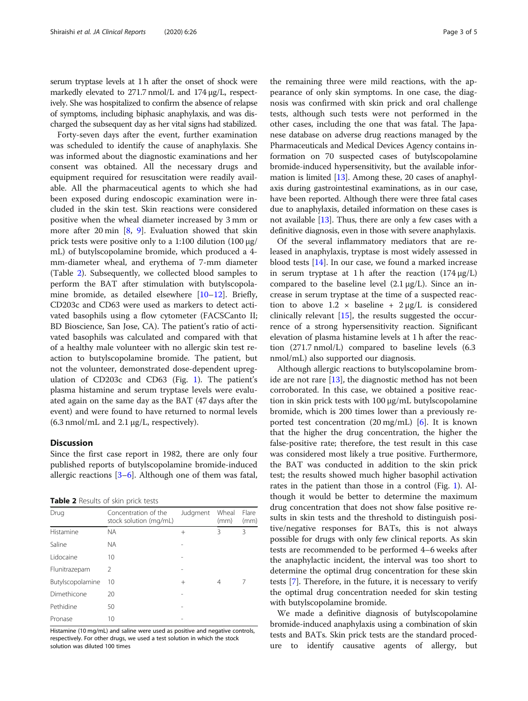serum tryptase levels at 1 h after the onset of shock were markedly elevated to 271.7 nmol/L and 174 μg/L, respectively. She was hospitalized to confirm the absence of relapse of symptoms, including biphasic anaphylaxis, and was discharged the subsequent day as her vital signs had stabilized.

Forty-seven days after the event, further examination was scheduled to identify the cause of anaphylaxis. She was informed about the diagnostic examinations and her consent was obtained. All the necessary drugs and equipment required for resuscitation were readily available. All the pharmaceutical agents to which she had been exposed during endoscopic examination were included in the skin test. Skin reactions were considered positive when the wheal diameter increased by 3 mm or more after 20 min  $[8, 9]$  $[8, 9]$  $[8, 9]$  $[8, 9]$ . Evaluation showed that skin prick tests were positive only to a 1:100 dilution (100 μg/ mL) of butylscopolamine bromide, which produced a 4 mm-diameter wheal, and erythema of 7-mm diameter (Table 2). Subsequently, we collected blood samples to perform the BAT after stimulation with butylscopolamine bromide, as detailed elsewhere [\[10](#page-4-0)–[12](#page-4-0)]. Briefly, CD203c and CD63 were used as markers to detect activated basophils using a flow cytometer (FACSCanto II; BD Bioscience, San Jose, CA). The patient's ratio of activated basophils was calculated and compared with that of a healthy male volunteer with no allergic skin test reaction to butylscopolamine bromide. The patient, but not the volunteer, demonstrated dose-dependent upregulation of CD203c and CD63 (Fig. [1](#page-3-0)). The patient's plasma histamine and serum tryptase levels were evaluated again on the same day as the BAT (47 days after the event) and were found to have returned to normal levels  $(6.3 \text{ nmol/mL}$  and  $2.1 \mu g/L$ , respectively).

## **Discussion**

Since the first case report in 1982, there are only four published reports of butylscopolamine bromide-induced allergic reactions  $[3-6]$  $[3-6]$  $[3-6]$  $[3-6]$  $[3-6]$ . Although one of them was fatal,

Table 2 Results of skin prick tests

| Drug             | Concentration of the<br>stock solution (mg/mL) | Judgment | Wheal<br>(mm) | Flare<br>(mm) |
|------------------|------------------------------------------------|----------|---------------|---------------|
| Histamine        | <b>NA</b>                                      | $^{+}$   | 3             | 3             |
| Saline           | <b>NA</b>                                      |          |               |               |
| Lidocaine        | 10                                             |          |               |               |
| Flunitrazepam    | $\mathcal{P}$                                  |          |               |               |
| Butylscopolamine | 10                                             | $^{+}$   | 4             | 7             |
| Dimethicone      | 20                                             |          |               |               |
| Pethidine        | 50                                             |          |               |               |
| Pronase          | 10                                             |          |               |               |

Histamine (10 mg/mL) and saline were used as positive and negative controls, respectively. For other drugs, we used a test solution in which the stock solution was diluted 100 times

the remaining three were mild reactions, with the appearance of only skin symptoms. In one case, the diagnosis was confirmed with skin prick and oral challenge tests, although such tests were not performed in the other cases, including the one that was fatal. The Japanese database on adverse drug reactions managed by the Pharmaceuticals and Medical Devices Agency contains information on 70 suspected cases of butylscopolamine bromide-induced hypersensitivity, but the available information is limited [[13](#page-4-0)]. Among these, 20 cases of anaphylaxis during gastrointestinal examinations, as in our case, have been reported. Although there were three fatal cases due to anaphylaxis, detailed information on these cases is not available  $[13]$  $[13]$  $[13]$ . Thus, there are only a few cases with a definitive diagnosis, even in those with severe anaphylaxis.

Of the several inflammatory mediators that are released in anaphylaxis, tryptase is most widely assessed in blood tests [\[14\]](#page-4-0). In our case, we found a marked increase in serum tryptase at 1 h after the reaction  $(174 \mu g/L)$ compared to the baseline level  $(2.1 \mu g/L)$ . Since an increase in serum tryptase at the time of a suspected reaction to above  $1.2 \times$  baseline +  $2 \mu g/L$  is considered clinically relevant [\[15](#page-4-0)], the results suggested the occurrence of a strong hypersensitivity reaction. Significant elevation of plasma histamine levels at 1 h after the reaction (271.7 nmol/L) compared to baseline levels (6.3 nmol/mL) also supported our diagnosis.

Although allergic reactions to butylscopolamine bromide are not rare [[13\]](#page-4-0), the diagnostic method has not been corroborated. In this case, we obtained a positive reaction in skin prick tests with 100 μg/mL butylscopolamine bromide, which is 200 times lower than a previously reported test concentration  $(20 \text{ mg/mL})$  [\[6](#page-3-0)]. It is known that the higher the drug concentration, the higher the false-positive rate; therefore, the test result in this case was considered most likely a true positive. Furthermore, the BAT was conducted in addition to the skin prick test; the results showed much higher basophil activation rates in the patient than those in a control (Fig. [1](#page-3-0)). Although it would be better to determine the maximum drug concentration that does not show false positive results in skin tests and the threshold to distinguish positive/negative responses for BATs, this is not always possible for drugs with only few clinical reports. As skin tests are recommended to be performed 4–6 weeks after the anaphylactic incident, the interval was too short to determine the optimal drug concentration for these skin tests [\[7](#page-3-0)]. Therefore, in the future, it is necessary to verify the optimal drug concentration needed for skin testing with butylscopolamine bromide.

We made a definitive diagnosis of butylscopolamine bromide-induced anaphylaxis using a combination of skin tests and BATs. Skin prick tests are the standard procedure to identify causative agents of allergy, but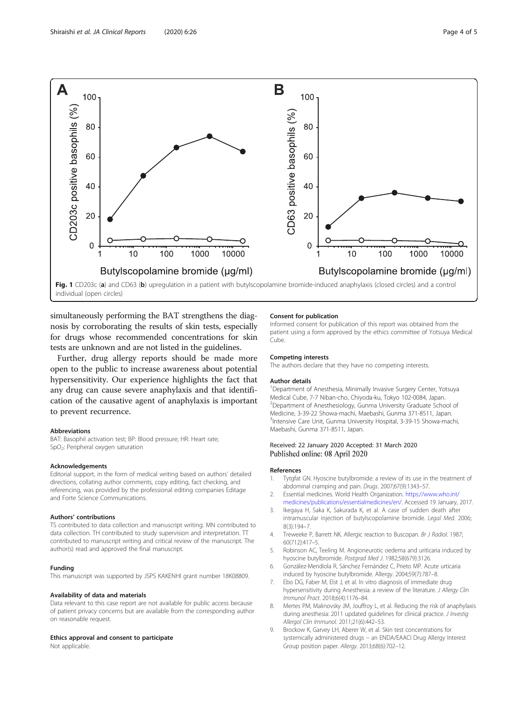

<span id="page-3-0"></span>

individual (open circles)

simultaneously performing the BAT strengthens the diagnosis by corroborating the results of skin tests, especially for drugs whose recommended concentrations for skin tests are unknown and are not listed in the guidelines.

Further, drug allergy reports should be made more open to the public to increase awareness about potential hypersensitivity. Our experience highlights the fact that any drug can cause severe anaphylaxis and that identification of the causative agent of anaphylaxis is important to prevent recurrence.

#### Abbreviations

BAT: Basophil activation test; BP: Blood pressure; HR: Heart rate; SpO2: Peripheral oxygen saturation

#### Acknowledgements

Editorial support, in the form of medical writing based on authors' detailed directions, collating author comments, copy editing, fact checking, and referencing, was provided by the professional editing companies Editage and Forte Science Communications.

### Authors' contributions

TS contributed to data collection and manuscript writing. MN contributed to data collection. TH contributed to study supervision and interpretation. TT contributed to manuscript writing and critical review of the manuscript. The author(s) read and approved the final manuscript.

#### Funding

This manuscript was supported by JSPS KAKENHI grant number 18K08809.

#### Availability of data and materials

Data relevant to this case report are not available for public access because of patient privacy concerns but are available from the corresponding author on reasonable request.

# Ethics approval and consent to participate

Not applicable.

#### Consent for publication

Informed consent for publication of this report was obtained from the patient using a form approved by the ethics committee of Yotsuya Medical Cube.

#### Competing interests

The authors declare that they have no competing interests.

### Author details

<sup>1</sup>Department of Anesthesia, Minimally Invasive Surgery Center, Yotsuya Medical Cube, 7-7 Niban-cho, Chiyoda-ku, Tokyo 102-0084, Japan. <sup>2</sup>Department of Anesthesiology, Gunma University Graduate School of Medicine, 3-39-22 Showa-machi, Maebashi, Gunma 371-8511, Japan. <sup>3</sup>Intensive Care Unit, Gunma University Hospital, 3-39-15 Showa-machi Maebashi, Gunma 371-8511, Japan.

# Received: 22 January 2020 Accepted: 31 March 2020 Published online: 08 April 2020

# References

- 1. Tytgfat GN. Hyoscine butylbromide: a review of its use in the treatment of abdominal cramping and pain. Drugs. 2007;67(9):1343–57.
- 2. Essential medicines. World Health Organization. [https://www.who.int/](https://www.who.int/medicines/publications/essentialmedicines/en/) [medicines/publications/essentialmedicines/en/](https://www.who.int/medicines/publications/essentialmedicines/en/). Accessed 19 January, 2017.
- 3. Ikegaya H, Saka K, Sakurada K, et al. A case of sudden death after intramuscular injection of butylscopolamine bromide. Legal Med. 2006; 8(3):194–7.
- 4. Treweeke P, Barrett NK. Allergic reaction to Buscopan. Br J Radiol. 1987; 60(712):417–5.
- 5. Robinson AC, Teeling M. Angioneurotic oedema and uriticaria induced by hyoscine butylbromide. Postgrad Med J. 1982;58(679):3126.
- 6. González-Mendiola R, Sánchez Fernández C, Prieto MP. Acute urticaria induced by hyoscine butylbromide. Allergy. 2004;59(7):787–8.
- 7. Ebo DG, Faber M, Elst J, et al. In vitro diagnosis of immediate drug hypersensitivity during Anesthesia: a review of the literature. J Allergy Clin Immunol Pract. 2018;6(4):1176–84.
- 8. Mertes PM, Malinovsky JM, Jouffroy L, et al. Reducing the risk of anaphylaxis during anesthesia: 2011 updated guidelines for clinical practice. J Investig Allergol Clin Immunol. 2011;21(6):442–53.
- 9. Brockow K, Garvey LH, Aberer W, et al. Skin test concentrations for systemically administered drugs -- an ENDA/EAACI Drug Allergy Interest Group position paper. Allergy. 2013;68(6):702–12.